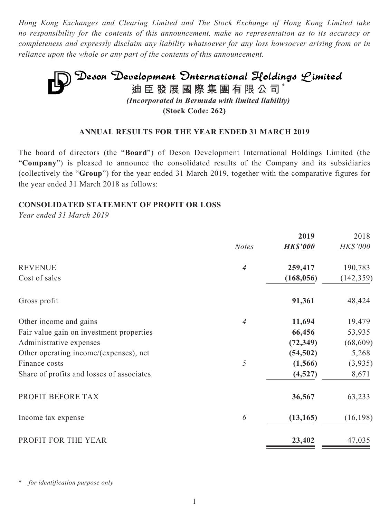*Hong Kong Exchanges and Clearing Limited and The Stock Exchange of Hong Kong Limited take no responsibility for the contents of this announcement, make no representation as to its accuracy or completeness and expressly disclaim any liability whatsoever for any loss howsoever arising from or in reliance upon the whole or any part of the contents of this announcement.*

# **Deson Development Onternational Holdings Limited**<br>迪臣發展國際集團有限公司<sup>\*</sup> *(Incorporated in Bermuda with limited liability)* **(Stock Code: 262)**

### **ANNUAL RESULTS FOR THE YEAR ENDED 31 MARCH 2019**

The board of directors (the "**Board**") of Deson Development International Holdings Limited (the "**Company**") is pleased to announce the consolidated results of the Company and its subsidiaries (collectively the "**Group**") for the year ended 31 March 2019, together with the comparative figures for the year ended 31 March 2018 as follows:

### **CONSOLIDATED STATEMENT OF PROFIT OR LOSS**

*Year ended 31 March 2019*

|                |                 | 2018            |
|----------------|-----------------|-----------------|
| <b>Notes</b>   | <b>HK\$'000</b> | <b>HK\$'000</b> |
| $\overline{4}$ | 259,417         | 190,783         |
|                | (168, 056)      | (142, 359)      |
|                | 91,361          | 48,424          |
| 4              | 11,694          | 19,479          |
|                | 66,456          | 53,935          |
|                | (72, 349)       | (68, 609)       |
|                | (54, 502)       | 5,268           |
| 5              | (1, 566)        | (3,935)         |
|                | (4,527)         | 8,671           |
|                | 36,567          | 63,233          |
| 6              | (13, 165)       | (16, 198)       |
|                | 23,402          | 47,035          |
|                |                 | 2019            |

for *identification* purpose only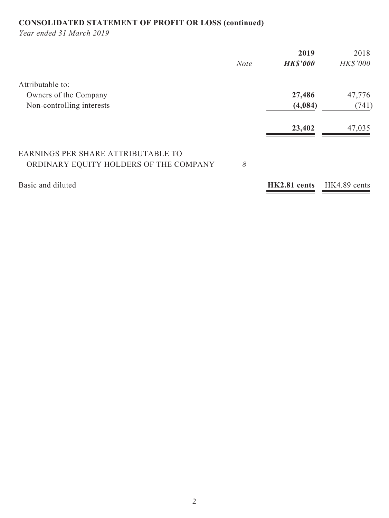## **CONSOLIDATED STATEMENT OF PROFIT OR LOSS (continued)**

*Year ended 31 March 2019*

|                                                                              |             | 2019            | 2018            |
|------------------------------------------------------------------------------|-------------|-----------------|-----------------|
|                                                                              | <b>Note</b> | <b>HK\$'000</b> | <b>HK\$'000</b> |
| Attributable to:                                                             |             |                 |                 |
| Owners of the Company                                                        |             | 27,486          | 47,776          |
| Non-controlling interests                                                    |             | (4,084)         | (741)           |
|                                                                              |             | 23,402          | 47,035          |
| EARNINGS PER SHARE ATTRIBUTABLE TO<br>ORDINARY EQUITY HOLDERS OF THE COMPANY | 8           |                 |                 |
| Basic and diluted                                                            |             | HK2.81 cents    | HK4.89 cents    |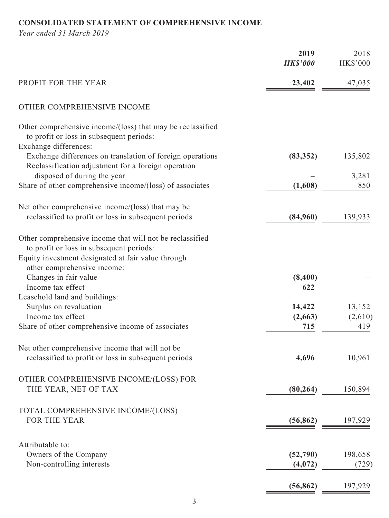### **CONSOLIDATED STATEMENT OF COMPREHENSIVE INCOME**

*Year ended 31 March 2019*

|                                                                                                                                           | 2019<br><b>HK\$'000</b> | 2018<br><b>HK\$'000</b> |
|-------------------------------------------------------------------------------------------------------------------------------------------|-------------------------|-------------------------|
| PROFIT FOR THE YEAR                                                                                                                       | 23,402                  | 47,035                  |
| OTHER COMPREHENSIVE INCOME                                                                                                                |                         |                         |
| Other comprehensive income/(loss) that may be reclassified<br>to profit or loss in subsequent periods:                                    |                         |                         |
| Exchange differences:<br>Exchange differences on translation of foreign operations<br>Reclassification adjustment for a foreign operation | (83, 352)               | 135,802                 |
| disposed of during the year                                                                                                               |                         | 3,281                   |
| Share of other comprehensive income/(loss) of associates                                                                                  | (1,608)                 | 850                     |
| Net other comprehensive income/(loss) that may be                                                                                         |                         |                         |
| reclassified to profit or loss in subsequent periods                                                                                      | (84,960)                | 139,933                 |
|                                                                                                                                           |                         |                         |
| Other comprehensive income that will not be reclassified                                                                                  |                         |                         |
| to profit or loss in subsequent periods:<br>Equity investment designated at fair value through                                            |                         |                         |
| other comprehensive income:                                                                                                               |                         |                         |
| Changes in fair value                                                                                                                     | (8,400)                 |                         |
| Income tax effect                                                                                                                         | 622                     |                         |
| Leasehold land and buildings:                                                                                                             |                         |                         |
| Surplus on revaluation                                                                                                                    | 14,422                  | 13,152                  |
| Income tax effect                                                                                                                         | (2,663)                 | (2,610)                 |
| Share of other comprehensive income of associates                                                                                         | 715                     | 419                     |
|                                                                                                                                           |                         |                         |
| Net other comprehensive income that will not be<br>reclassified to profit or loss in subsequent periods                                   | 4,696                   | 10,961                  |
|                                                                                                                                           |                         |                         |
| OTHER COMPREHENSIVE INCOME/(LOSS) FOR                                                                                                     |                         |                         |
| THE YEAR, NET OF TAX                                                                                                                      | (80, 264)               | 150,894                 |
| TOTAL COMPREHENSIVE INCOME/(LOSS)                                                                                                         |                         |                         |
| FOR THE YEAR                                                                                                                              | (56, 862)               | 197,929                 |
|                                                                                                                                           |                         |                         |
| Attributable to:                                                                                                                          |                         |                         |
| Owners of the Company                                                                                                                     | (52, 790)               | 198,658                 |
| Non-controlling interests                                                                                                                 | (4,072)                 | (729)                   |
|                                                                                                                                           | (56, 862)               | 197,929                 |
|                                                                                                                                           |                         |                         |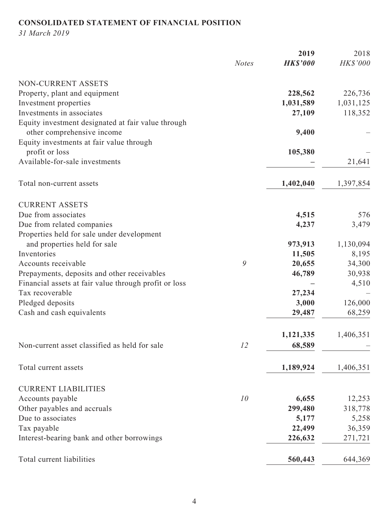### **CONSOLIDATED STATEMENT OF FINANCIAL POSITION**

*31 March 2019*

|                                                       |              | 2019            | 2018      |
|-------------------------------------------------------|--------------|-----------------|-----------|
|                                                       | <b>Notes</b> | <b>HK\$'000</b> | HK\$'000  |
| NON-CURRENT ASSETS                                    |              |                 |           |
| Property, plant and equipment                         |              | 228,562         | 226,736   |
| Investment properties                                 |              | 1,031,589       | 1,031,125 |
| Investments in associates                             |              | 27,109          | 118,352   |
| Equity investment designated at fair value through    |              |                 |           |
| other comprehensive income                            |              | 9,400           |           |
| Equity investments at fair value through              |              |                 |           |
| profit or loss                                        |              | 105,380         |           |
| Available-for-sale investments                        |              |                 | 21,641    |
|                                                       |              |                 |           |
| Total non-current assets                              |              | 1,402,040       | 1,397,854 |
| <b>CURRENT ASSETS</b>                                 |              |                 |           |
| Due from associates                                   |              | 4,515           | 576       |
| Due from related companies                            |              | 4,237           | 3,479     |
| Properties held for sale under development            |              |                 |           |
| and properties held for sale                          |              | 973,913         | 1,130,094 |
| Inventories                                           |              | 11,505          | 8,195     |
| Accounts receivable                                   | 9            | 20,655          | 34,300    |
| Prepayments, deposits and other receivables           |              | 46,789          | 30,938    |
| Financial assets at fair value through profit or loss |              |                 | 4,510     |
| Tax recoverable                                       |              | 27,234          |           |
| Pledged deposits                                      |              | 3,000           | 126,000   |
| Cash and cash equivalents                             |              | 29,487          | 68,259    |
|                                                       |              | 1,121,335       | 1,406,351 |
| Non-current asset classified as held for sale         | 12           | 68,589          |           |
|                                                       |              |                 |           |
| Total current assets                                  |              | 1,189,924       | 1,406,351 |
| <b>CURRENT LIABILITIES</b>                            |              |                 |           |
| Accounts payable                                      | 10           | 6,655           | 12,253    |
| Other payables and accruals                           |              | 299,480         | 318,778   |
| Due to associates                                     |              | 5,177           | 5,258     |
| Tax payable                                           |              | 22,499          | 36,359    |
| Interest-bearing bank and other borrowings            |              | 226,632         | 271,721   |
|                                                       |              |                 |           |
| Total current liabilities                             |              | 560,443         | 644,369   |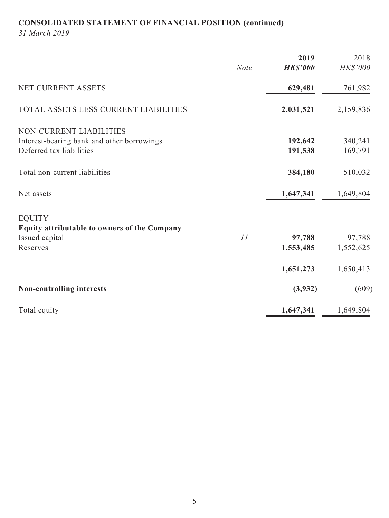## **CONSOLIDATED STATEMENT OF FINANCIAL POSITION (continued)**

*31 March 2019*

|                                              |             | 2019            | 2018      |
|----------------------------------------------|-------------|-----------------|-----------|
|                                              | <b>Note</b> | <b>HK\$'000</b> | HK\$'000  |
| NET CURRENT ASSETS                           |             | 629,481         | 761,982   |
| TOTAL ASSETS LESS CURRENT LIABILITIES        |             | 2,031,521       | 2,159,836 |
| NON-CURRENT LIABILITIES                      |             |                 |           |
| Interest-bearing bank and other borrowings   |             | 192,642         | 340,241   |
| Deferred tax liabilities                     |             | 191,538         | 169,791   |
| Total non-current liabilities                |             | 384,180         | 510,032   |
| Net assets                                   |             | 1,647,341       | 1,649,804 |
| <b>EQUITY</b>                                |             |                 |           |
| Equity attributable to owners of the Company |             |                 |           |
| Issued capital                               | 11          | 97,788          | 97,788    |
| Reserves                                     |             | 1,553,485       | 1,552,625 |
|                                              |             | 1,651,273       | 1,650,413 |
| <b>Non-controlling interests</b>             |             | (3,932)         | (609)     |
| Total equity                                 |             | 1,647,341       | 1,649,804 |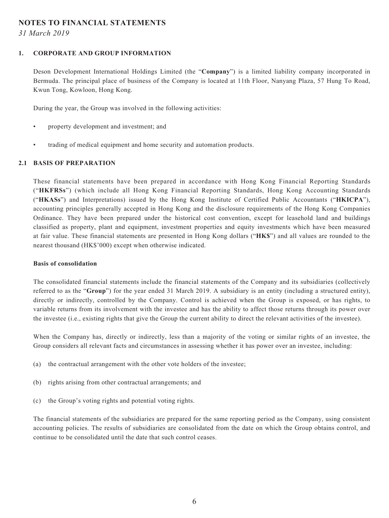### **NOTES TO FINANCIAL STATEMENTS**

*31 March 2019*

#### **1. CORPORATE AND GROUP INFORMATION**

Deson Development International Holdings Limited (the "**Company**") is a limited liability company incorporated in Bermuda. The principal place of business of the Company is located at 11th Floor, Nanyang Plaza, 57 Hung To Road, Kwun Tong, Kowloon, Hong Kong.

During the year, the Group was involved in the following activities:

- property development and investment; and
- trading of medical equipment and home security and automation products.

#### **2.1 BASIS OF PREPARATION**

These financial statements have been prepared in accordance with Hong Kong Financial Reporting Standards ("**HKFRSs**") (which include all Hong Kong Financial Reporting Standards, Hong Kong Accounting Standards ("**HKASs**") and Interpretations) issued by the Hong Kong Institute of Certified Public Accountants ("**HKICPA**"), accounting principles generally accepted in Hong Kong and the disclosure requirements of the Hong Kong Companies Ordinance. They have been prepared under the historical cost convention, except for leasehold land and buildings classified as property, plant and equipment, investment properties and equity investments which have been measured at fair value. These financial statements are presented in Hong Kong dollars ("**HK\$**") and all values are rounded to the nearest thousand (HK\$'000) except when otherwise indicated.

#### **Basis of consolidation**

The consolidated financial statements include the financial statements of the Company and its subsidiaries (collectively referred to as the "**Group**") for the year ended 31 March 2019. A subsidiary is an entity (including a structured entity), directly or indirectly, controlled by the Company. Control is achieved when the Group is exposed, or has rights, to variable returns from its involvement with the investee and has the ability to affect those returns through its power over the investee (i.e., existing rights that give the Group the current ability to direct the relevant activities of the investee).

When the Company has, directly or indirectly, less than a majority of the voting or similar rights of an investee, the Group considers all relevant facts and circumstances in assessing whether it has power over an investee, including:

- (a) the contractual arrangement with the other vote holders of the investee;
- (b) rights arising from other contractual arrangements; and
- (c) the Group's voting rights and potential voting rights.

The financial statements of the subsidiaries are prepared for the same reporting period as the Company, using consistent accounting policies. The results of subsidiaries are consolidated from the date on which the Group obtains control, and continue to be consolidated until the date that such control ceases.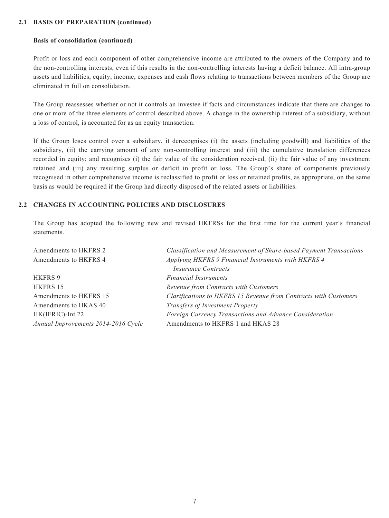#### **2.1 BASIS OF PREPARATION (continued)**

#### **Basis of consolidation (continued)**

Profit or loss and each component of other comprehensive income are attributed to the owners of the Company and to the non-controlling interests, even if this results in the non-controlling interests having a deficit balance. All intra-group assets and liabilities, equity, income, expenses and cash flows relating to transactions between members of the Group are eliminated in full on consolidation.

The Group reassesses whether or not it controls an investee if facts and circumstances indicate that there are changes to one or more of the three elements of control described above. A change in the ownership interest of a subsidiary, without a loss of control, is accounted for as an equity transaction.

If the Group loses control over a subsidiary, it derecognises (i) the assets (including goodwill) and liabilities of the subsidiary, (ii) the carrying amount of any non-controlling interest and (iii) the cumulative translation differences recorded in equity; and recognises (i) the fair value of the consideration received, (ii) the fair value of any investment retained and (iii) any resulting surplus or deficit in profit or loss. The Group's share of components previously recognised in other comprehensive income is reclassified to profit or loss or retained profits, as appropriate, on the same basis as would be required if the Group had directly disposed of the related assets or liabilities.

#### **2.2 CHANGES IN ACCOUNTING POLICIES AND DISCLOSURES**

The Group has adopted the following new and revised HKFRSs for the first time for the current year's financial statements.

| Amendments to HKFRS 2               | Classification and Measurement of Share-based Payment Transactions |
|-------------------------------------|--------------------------------------------------------------------|
| Amendments to HKFRS 4               | Applying HKFRS 9 Financial Instruments with HKFRS 4                |
|                                     | <i>Insurance Contracts</i>                                         |
| HKFRS 9                             | <b>Financial Instruments</b>                                       |
| HKFRS 15                            | Revenue from Contracts with Customers                              |
| Amendments to HKFRS 15              | Clarifications to HKFRS 15 Revenue from Contracts with Customers   |
| Amendments to HKAS 40               | <b>Transfers of Investment Property</b>                            |
| HK(IFRIC)-Int 22                    | Foreign Currency Transactions and Advance Consideration            |
| Annual Improvements 2014-2016 Cycle | Amendments to HKFRS 1 and HKAS 28                                  |
|                                     |                                                                    |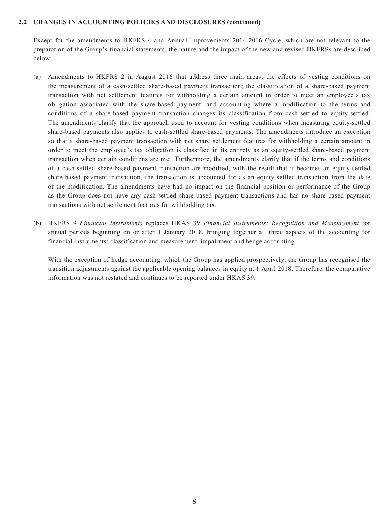Except for the amendments to HKFRS 4 and Annual Improvements 2014-2016 Cycle, which are not relevant to the preparation of the Group's financial statements, the nature and the impact of the new and revised HKFRSs are described below:

- (a) Amendments to HKFRS 2 in August 2016 that address three main areas: the effects of vesting conditions on the measurement of a cash-settled share-based payment transaction; the classification of a share-based payment transaction with net settlement features for withholding a certain amount in order to meet an employee's tax obligation associated with the share-based payment; and accounting where a modification to the terms and conditions of a share-based payment transaction changes its classification from cash-settled to equity-settled. The amendments clarify that the approach used to account for vesting conditions when measuring equity-settled share-based payments also applies to cash-settled share-based payments. The amendments introduce an exception so that a share-based payment transaction with net share settlement features for withholding a certain amount in order to meet the employee's tax obligation is classified in its entirety as an equity-settled share-based payment transaction when certain conditions are met. Furthermore, the amendments clarify that if the terms and conditions of a cash-settled share-based payment transaction are modified, with the result that it becomes an equity-settled share-based payment transaction, the transaction is accounted for as an equity-settled transaction from the date of the modification. The amendments have had no impact on the financial position or performance of the Group as the Group does not have any cash-settled share-based payment transactions and has no share-based payment transactions with net settlement features for withholding tax.
- (b) HKFRS 9 *Financial Instruments* replaces HKAS 39 *Financial Instruments: Recognition and Measurement* for annual periods beginning on or after 1 January 2018, bringing together all three aspects of the accounting for financial instruments: classification and measurement, impairment and hedge accounting.

With the exception of hedge accounting, which the Group has applied prospectively, the Group has recognised the transition adjustments against the applicable opening balances in equity at 1 April 2018. Therefore, the comparative information was not restated and continues to be reported under HKAS 39.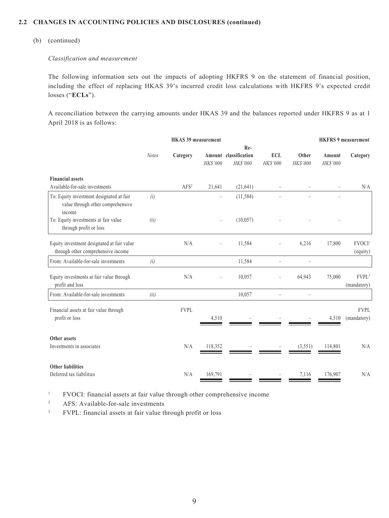#### (b) (continued)

#### *Classification and measurement*

The following information sets out the impacts of adopting HKFRS 9 on the statement of financial position, including the effect of replacing HKAS 39's incurred credit loss calculations with HKFRS 9's expected credit losses ("**ECLs**").

A reconciliation between the carrying amounts under HKAS 39 and the balances reported under HKFRS 9 as at 1 April 2018 is as follows:

|                                                                                         |              | <b>HKAS 39 measurement</b> |                   |                                         |                              |                   |                    | <b>HKFRS 9 measurement</b>       |
|-----------------------------------------------------------------------------------------|--------------|----------------------------|-------------------|-----------------------------------------|------------------------------|-------------------|--------------------|----------------------------------|
|                                                                                         |              |                            |                   | Re-                                     |                              |                   |                    |                                  |
|                                                                                         | <b>Notes</b> | Category                   | HK\$'000          | Amount classification<br><b>HKS'000</b> | <b>ECL</b><br><b>HKS'000</b> | Other<br>HK\$'000 | Amount<br>HK\$'000 | Category                         |
| <b>Financial assets</b>                                                                 |              |                            |                   |                                         |                              |                   |                    |                                  |
| Available-for-sale investments                                                          |              | AFS <sup>2</sup>           | 21,641            | (21, 641)                               |                              |                   |                    | N/A                              |
| To: Equity investment designated at fair<br>value through other comprehensive<br>income | (i)          |                            |                   | (11, 584)                               |                              |                   |                    |                                  |
| To: Equity investments at fair value<br>through profit or loss                          | (ii)         |                            | $\qquad \qquad -$ | (10,057)                                |                              |                   |                    |                                  |
| Equity investment designated at fair value<br>through other comprehensive income        |              | N/A                        |                   | 11,584                                  |                              | 6,216             | 17,800             | FVOCI <sup>1</sup><br>(equity)   |
| From: Available-for-sale investments                                                    | (i)          |                            |                   | 11,584                                  |                              |                   |                    |                                  |
| Equity investments at fair value through<br>profit and loss                             |              | N/A                        |                   | 10,057                                  |                              | 64,943            | 75,000             | FVPL <sup>3</sup><br>(mandatory) |
| From: Available-for-sale investments                                                    | (ii)         |                            |                   | 10,057                                  |                              |                   |                    |                                  |
| Financial assets at fair value through<br>profit or loss                                |              | <b>FVPL</b>                | 4,510             |                                         |                              |                   | 4,510              | FVPL<br>(mandatory)              |
| Other assets                                                                            |              |                            |                   |                                         |                              |                   |                    |                                  |
| Investments in associates                                                               |              | N/A                        | 118,352           |                                         |                              | (3,551)           | 114,801            | $\rm N/A$                        |
| <b>Other liabilities</b><br>Deferred tax liabilities                                    |              | N/A                        | 169,791           |                                         |                              | 7,116             | 176,907            | N/A                              |
|                                                                                         |              |                            |                   |                                         |                              |                   |                    |                                  |

<sup>1</sup> FVOCI: financial assets at fair value through other comprehensive income

<sup>2</sup> AFS: Available-for-sale investments

<sup>3</sup> FVPL: financial assets at fair value through profit or loss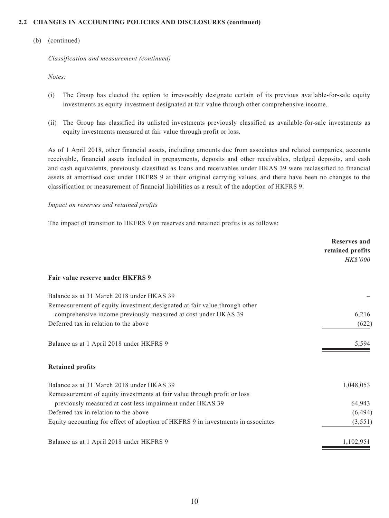#### (b) (continued)

*Classification and measurement (continued)*

*Notes:*

- (i) The Group has elected the option to irrevocably designate certain of its previous available-for-sale equity investments as equity investment designated at fair value through other comprehensive income.
- (ii) The Group has classified its unlisted investments previously classified as available-for-sale investments as equity investments measured at fair value through profit or loss.

As of 1 April 2018, other financial assets, including amounts due from associates and related companies, accounts receivable, financial assets included in prepayments, deposits and other receivables, pledged deposits, and cash and cash equivalents, previously classified as loans and receivables under HKAS 39 were reclassified to financial assets at amortised cost under HKFRS 9 at their original carrying values, and there have been no changes to the classification or measurement of financial liabilities as a result of the adoption of HKFRS 9.

#### *Impact on reserves and retained profits*

The impact of transition to HKFRS 9 on reserves and retained profits is as follows:

|                                                                                  | <b>Reserves and</b>                 |
|----------------------------------------------------------------------------------|-------------------------------------|
|                                                                                  | retained profits<br><b>HK\$'000</b> |
| Fair value reserve under HKFRS 9                                                 |                                     |
| Balance as at 31 March 2018 under HKAS 39                                        |                                     |
| Remeasurement of equity investment designated at fair value through other        |                                     |
| comprehensive income previously measured at cost under HKAS 39                   | 6,216                               |
| Deferred tax in relation to the above                                            | (622)                               |
| Balance as at 1 April 2018 under HKFRS 9                                         | 5,594                               |
| <b>Retained profits</b>                                                          |                                     |
| Balance as at 31 March 2018 under HKAS 39                                        | 1,048,053                           |
| Remeasurement of equity investments at fair value through profit or loss         |                                     |
| previously measured at cost less impairment under HKAS 39                        | 64,943                              |
| Deferred tax in relation to the above                                            | (6, 494)                            |
| Equity accounting for effect of adoption of HKFRS 9 in investments in associates | (3, 551)                            |
| Balance as at 1 April 2018 under HKFRS 9                                         | 1,102,951                           |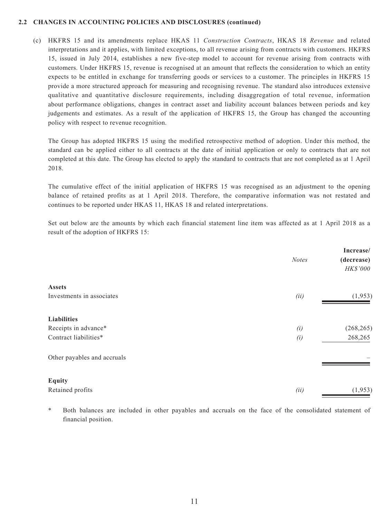(c) HKFRS 15 and its amendments replace HKAS 11 *Construction Contracts*, HKAS 18 *Revenue* and related interpretations and it applies, with limited exceptions, to all revenue arising from contracts with customers. HKFRS 15, issued in July 2014, establishes a new five-step model to account for revenue arising from contracts with customers. Under HKFRS 15, revenue is recognised at an amount that reflects the consideration to which an entity expects to be entitled in exchange for transferring goods or services to a customer. The principles in HKFRS 15 provide a more structured approach for measuring and recognising revenue. The standard also introduces extensive qualitative and quantitative disclosure requirements, including disaggregation of total revenue, information about performance obligations, changes in contract asset and liability account balances between periods and key judgements and estimates. As a result of the application of HKFRS 15, the Group has changed the accounting policy with respect to revenue recognition.

The Group has adopted HKFRS 15 using the modified retrospective method of adoption. Under this method, the standard can be applied either to all contracts at the date of initial application or only to contracts that are not completed at this date. The Group has elected to apply the standard to contracts that are not completed as at 1 April 2018.

The cumulative effect of the initial application of HKFRS 15 was recognised as an adjustment to the opening balance of retained profits as at 1 April 2018. Therefore, the comparative information was not restated and continues to be reported under HKAS 11, HKAS 18 and related interpretations.

Set out below are the amounts by which each financial statement line item was affected as at 1 April 2018 as a result of the adoption of HKFRS 15:

|                             | <b>Notes</b> | Increase/<br>(decrease)<br><b>HK\$'000</b> |
|-----------------------------|--------------|--------------------------------------------|
| <b>Assets</b>               |              |                                            |
| Investments in associates   | (ii)         | (1,953)                                    |
| <b>Liabilities</b>          |              |                                            |
| Receipts in advance*        | (i)          | (268, 265)                                 |
| Contract liabilities*       | (i)          | 268,265                                    |
| Other payables and accruals |              |                                            |
| <b>Equity</b>               |              |                                            |
| Retained profits            | (ii)         | (1,953)                                    |

Both balances are included in other payables and accruals on the face of the consolidated statement of financial position.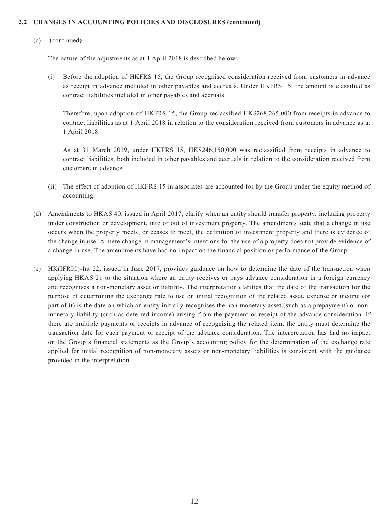#### (c) (continued)

The nature of the adjustments as at 1 April 2018 is described below:

(i) Before the adoption of HKFRS 15, the Group recognised consideration received from customers in advance as receipt in advance included in other payables and accruals. Under HKFRS 15, the amount is classified as contract liabilities included in other payables and accruals.

Therefore, upon adoption of HKFRS 15, the Group reclassified HK\$268,265,000 from receipts in advance to contract liabilities as at 1 April 2018 in relation to the consideration received from customers in advance as at 1 April 2018.

As at 31 March 2019, under HKFRS 15, HK\$246,150,000 was reclassified from receipts in advance to contract liabilities, both included in other payables and accruals in relation to the consideration received from customers in advance.

- (ii) The effect of adoption of HKFRS 15 in associates are accounted for by the Group under the equity method of accounting.
- (d) Amendments to HKAS 40, issued in April 2017, clarify when an entity should transfer property, including property under construction or development, into or out of investment property. The amendments state that a change in use occurs when the property meets, or ceases to meet, the definition of investment property and there is evidence of the change in use. A mere change in management's intentions for the use of a property does not provide evidence of a change in use. The amendments have had no impact on the financial position or performance of the Group.
- (e) HK(IFRIC)-Int 22, issued in June 2017, provides guidance on how to determine the date of the transaction when applying HKAS 21 to the situation where an entity receives or pays advance consideration in a foreign currency and recognises a non-monetary asset or liability. The interpretation clarifies that the date of the transaction for the purpose of determining the exchange rate to use on initial recognition of the related asset, expense or income (or part of it) is the date on which an entity initially recognises the non-monetary asset (such as a prepayment) or nonmonetary liability (such as deferred income) arising from the payment or receipt of the advance consideration. If there are multiple payments or receipts in advance of recognising the related item, the entity must determine the transaction date for each payment or receipt of the advance consideration. The interpretation has had no impact on the Group's financial statements as the Group's accounting policy for the determination of the exchange rate applied for initial recognition of non-monetary assets or non-monetary liabilities is consistent with the guidance provided in the interpretation.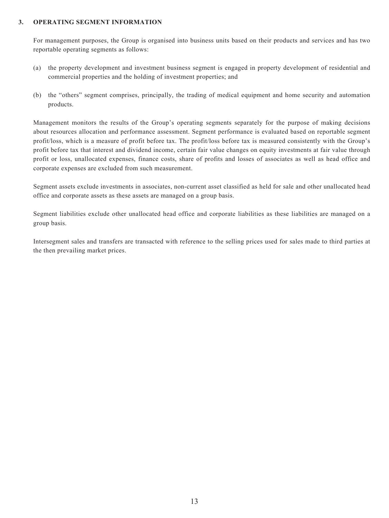#### **3. OPERATING SEGMENT INFORMATION**

For management purposes, the Group is organised into business units based on their products and services and has two reportable operating segments as follows:

- (a) the property development and investment business segment is engaged in property development of residential and commercial properties and the holding of investment properties; and
- (b) the "others" segment comprises, principally, the trading of medical equipment and home security and automation products.

Management monitors the results of the Group's operating segments separately for the purpose of making decisions about resources allocation and performance assessment. Segment performance is evaluated based on reportable segment profit/loss, which is a measure of profit before tax. The profit/loss before tax is measured consistently with the Group's profit before tax that interest and dividend income, certain fair value changes on equity investments at fair value through profit or loss, unallocated expenses, finance costs, share of profits and losses of associates as well as head office and corporate expenses are excluded from such measurement.

Segment assets exclude investments in associates, non-current asset classified as held for sale and other unallocated head office and corporate assets as these assets are managed on a group basis.

Segment liabilities exclude other unallocated head office and corporate liabilities as these liabilities are managed on a group basis.

Intersegment sales and transfers are transacted with reference to the selling prices used for sales made to third parties at the then prevailing market prices.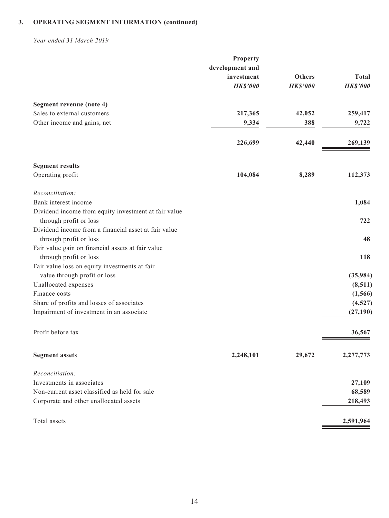*Year ended 31 March 2019*

|                                                                                | Property                      |                                  |                                 |
|--------------------------------------------------------------------------------|-------------------------------|----------------------------------|---------------------------------|
|                                                                                | development and<br>investment |                                  |                                 |
|                                                                                | <b>HK\$'000</b>               | <b>Others</b><br><b>HK\$'000</b> | <b>Total</b><br><b>HK\$'000</b> |
|                                                                                |                               |                                  |                                 |
| Segment revenue (note 4)                                                       |                               |                                  |                                 |
| Sales to external customers                                                    | 217,365                       | 42,052                           | 259,417                         |
| Other income and gains, net                                                    | 9,334                         | 388                              | 9,722                           |
|                                                                                | 226,699                       | 42,440                           | 269,139                         |
|                                                                                |                               |                                  |                                 |
| <b>Segment results</b>                                                         |                               |                                  |                                 |
| Operating profit                                                               | 104,084                       | 8,289                            | 112,373                         |
| Reconciliation:                                                                |                               |                                  |                                 |
| Bank interest income                                                           |                               |                                  | 1,084                           |
| Dividend income from equity investment at fair value<br>through profit or loss |                               |                                  | 722                             |
| Dividend income from a financial asset at fair value                           |                               |                                  |                                 |
| through profit or loss                                                         |                               |                                  | 48                              |
| Fair value gain on financial assets at fair value                              |                               |                                  |                                 |
| through profit or loss                                                         |                               |                                  | 118                             |
| Fair value loss on equity investments at fair                                  |                               |                                  |                                 |
| value through profit or loss                                                   |                               |                                  | (35,984)                        |
| Unallocated expenses                                                           |                               |                                  | (8,511)                         |
| Finance costs                                                                  |                               |                                  | (1, 566)                        |
| Share of profits and losses of associates                                      |                               |                                  | (4,527)                         |
| Impairment of investment in an associate                                       |                               |                                  | (27, 190)                       |
| Profit before tax                                                              |                               |                                  | 36,567                          |
|                                                                                |                               |                                  |                                 |
| <b>Segment assets</b>                                                          | 2,248,101                     | 29,672                           | 2,277,773                       |
| Reconciliation:                                                                |                               |                                  |                                 |
| Investments in associates                                                      |                               |                                  | 27,109                          |
| Non-current asset classified as held for sale                                  |                               |                                  | 68,589                          |
| Corporate and other unallocated assets                                         |                               |                                  | 218,493                         |
| Total assets                                                                   |                               |                                  | 2,591,964                       |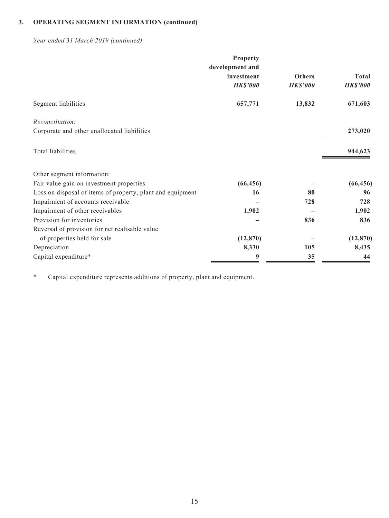*Year ended 31 March 2019 (continued)*

|                                                            | Property        |                 |                 |
|------------------------------------------------------------|-----------------|-----------------|-----------------|
|                                                            | development and |                 |                 |
|                                                            | investment      | <b>Others</b>   | <b>Total</b>    |
|                                                            | <b>HK\$'000</b> | <b>HK\$'000</b> | <b>HK\$'000</b> |
| Segment liabilities                                        | 657,771         | 13,832          | 671,603         |
| Reconciliation:                                            |                 |                 |                 |
| Corporate and other unallocated liabilities                |                 |                 | 273,020         |
| Total liabilities                                          |                 |                 | 944,623         |
| Other segment information:                                 |                 |                 |                 |
| Fair value gain on investment properties                   | (66, 456)       |                 | (66, 456)       |
| Loss on disposal of items of property, plant and equipment | 16              | 80              | 96              |
| Impairment of accounts receivable                          |                 | 728             | 728             |
| Impairment of other receivables                            | 1,902           |                 | 1,902           |
| Provision for inventories                                  |                 | 836             | 836             |
| Reversal of provision for net realisable value             |                 |                 |                 |
| of properties held for sale                                | (12, 870)       |                 | (12, 870)       |
| Depreciation                                               | 8,330           | 105             | 8,435           |
| Capital expenditure*                                       | 9               | 35              | 44              |

\* Capital expenditure represents additions of property, plant and equipment.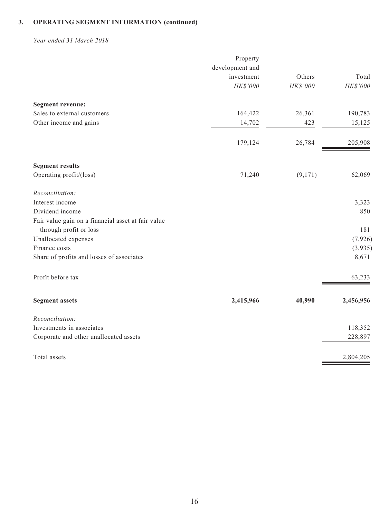*Year ended 31 March 2018*

|                                                    | Property        |          |           |
|----------------------------------------------------|-----------------|----------|-----------|
|                                                    | development and |          |           |
|                                                    | investment      | Others   | Total     |
|                                                    | HK\$'000        | HK\$'000 | HK\$'000  |
| <b>Segment revenue:</b>                            |                 |          |           |
| Sales to external customers                        | 164,422         | 26,361   | 190,783   |
| Other income and gains                             | 14,702          | 423      | 15,125    |
|                                                    | 179,124         | 26,784   | 205,908   |
| <b>Segment results</b>                             |                 |          |           |
| Operating profit/(loss)                            | 71,240          | (9,171)  | 62,069    |
| Reconciliation:                                    |                 |          |           |
| Interest income                                    |                 |          | 3,323     |
| Dividend income                                    |                 |          | 850       |
| Fair value gain on a financial asset at fair value |                 |          |           |
| through profit or loss                             |                 |          | 181       |
| Unallocated expenses                               |                 |          | (7, 926)  |
| Finance costs                                      |                 |          | (3,935)   |
| Share of profits and losses of associates          |                 |          | 8,671     |
| Profit before tax                                  |                 |          | 63,233    |
| <b>Segment assets</b>                              | 2,415,966       | 40,990   | 2,456,956 |
| Reconciliation:                                    |                 |          |           |
| Investments in associates                          |                 |          | 118,352   |
| Corporate and other unallocated assets             |                 |          | 228,897   |
| Total assets                                       |                 |          | 2,804,205 |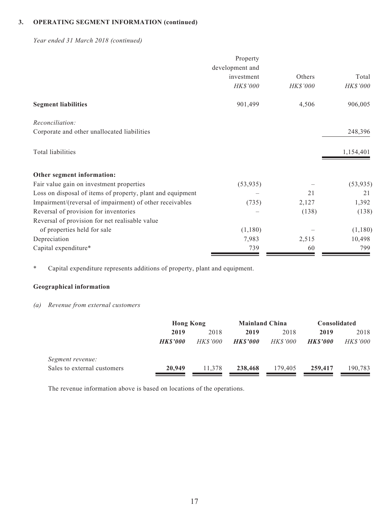*Year ended 31 March 2018 (continued)*

|                                                            | Property        |          |           |
|------------------------------------------------------------|-----------------|----------|-----------|
|                                                            | development and |          |           |
|                                                            | investment      | Others   | Total     |
|                                                            | HK\$'000        | HK\$'000 | HK\$'000  |
| <b>Segment liabilities</b>                                 | 901,499         | 4,506    | 906,005   |
| Reconciliation:                                            |                 |          |           |
| Corporate and other unallocated liabilities                |                 |          | 248,396   |
| Total liabilities                                          |                 |          | 1,154,401 |
| Other segment information:                                 |                 |          |           |
| Fair value gain on investment properties                   | (53, 935)       |          | (53, 935) |
| Loss on disposal of items of property, plant and equipment |                 | 21       | 21        |
| Impairment/(reversal of impairment) of other receivables   | (735)           | 2,127    | 1,392     |
| Reversal of provision for inventories                      |                 | (138)    | (138)     |
| Reversal of provision for net realisable value             |                 |          |           |
| of properties held for sale                                | (1,180)         |          | (1,180)   |
| Depreciation                                               | 7,983           | 2,515    | 10,498    |
| Capital expenditure*                                       | 739             | 60       | 799       |

\* Capital expenditure represents additions of property, plant and equipment.

#### **Geographical information**

#### *(a) Revenue from external customers*

|                             | <b>Hong Kong</b> |                 | <b>Mainland China</b> |                 | Consolidated   |                 |
|-----------------------------|------------------|-----------------|-----------------------|-----------------|----------------|-----------------|
|                             | 2019             | 2018            | 2019                  | 2018            | 2019           | 2018            |
|                             | <b>HKS'000</b>   | <i>HK\$'000</i> | <b>HKS'000</b>        | <i>HK\$'000</i> | <b>HKS'000</b> | <b>HK\$'000</b> |
| Segment revenue:            |                  |                 |                       |                 |                |                 |
| Sales to external customers | 20,949           | 11.378          | 238,468               | 179,405         | 259,417        | 190,783         |

The revenue information above is based on locations of the operations.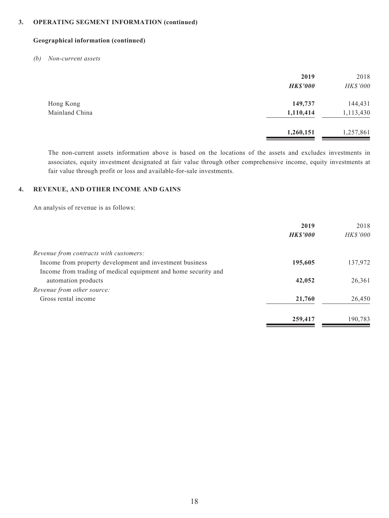#### **Geographical information (continued)**

*(b) Non-current assets*

|                | 2019<br><b>HK\$'000</b> | 2018<br>HK\$'000 |
|----------------|-------------------------|------------------|
| Hong Kong      | 149,737                 | 144,431          |
| Mainland China | 1,110,414               | 1,113,430        |
|                | 1,260,151               | 1,257,861        |

The non-current assets information above is based on the locations of the assets and excludes investments in associates, equity investment designated at fair value through other comprehensive income, equity investments at fair value through profit or loss and available-for-sale investments.

#### **4. REVENUE, AND OTHER INCOME AND GAINS**

An analysis of revenue is as follows:

|                                                                | 2019            | 2018     |
|----------------------------------------------------------------|-----------------|----------|
|                                                                | <b>HK\$'000</b> | HK\$'000 |
| Revenue from contracts with customers:                         |                 |          |
| Income from property development and investment business       | 195,605         | 137,972  |
| Income from trading of medical equipment and home security and |                 |          |
| automation products                                            | 42,052          | 26,361   |
| Revenue from other source:                                     |                 |          |
| Gross rental income                                            | 21,760          | 26,450   |
|                                                                | 259,417         | 190,783  |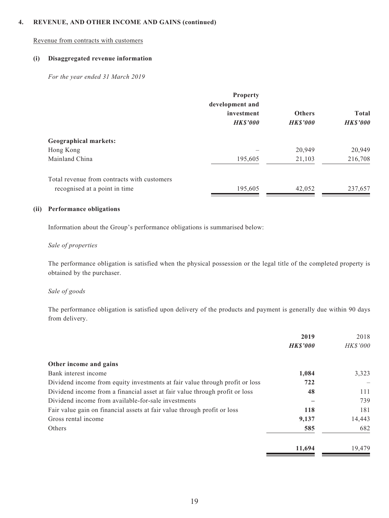#### **4. REVENUE, AND OTHER INCOME AND GAINS (continued)**

#### Revenue from contracts with customers

#### **(i) Disaggregated revenue information**

*For the year ended 31 March 2019*

|                                             | Property<br>development and   |                                 |                                 |
|---------------------------------------------|-------------------------------|---------------------------------|---------------------------------|
|                                             | investment<br><b>HK\$'000</b> | <b>Others</b><br><b>HKS'000</b> | <b>Total</b><br><b>HK\$'000</b> |
| <b>Geographical markets:</b>                |                               |                                 |                                 |
| Hong Kong                                   |                               | 20,949                          | 20,949                          |
| Mainland China                              | 195,605                       | 21,103                          | 216,708                         |
| Total revenue from contracts with customers |                               |                                 |                                 |
| recognised at a point in time               | 195,605                       | 42,052                          | 237,657                         |

#### **(ii) Performance obligations**

Information about the Group's performance obligations is summarised below:

#### *Sale of properties*

The performance obligation is satisfied when the physical possession or the legal title of the completed property is obtained by the purchaser.

#### *Sale of goods*

The performance obligation is satisfied upon delivery of the products and payment is generally due within 90 days from delivery.

|                                                                              | 2019            | 2018            |
|------------------------------------------------------------------------------|-----------------|-----------------|
|                                                                              | <b>HK\$'000</b> | <b>HK\$'000</b> |
| Other income and gains                                                       |                 |                 |
| Bank interest income                                                         | 1,084           | 3,323           |
| Dividend income from equity investments at fair value through profit or loss | 722             |                 |
| Dividend income from a financial asset at fair value through profit or loss  | 48              | 111             |
| Dividend income from available-for-sale investments                          |                 | 739             |
| Fair value gain on financial assets at fair value through profit or loss     | 118             | 181             |
| Gross rental income                                                          | 9,137           | 14,443          |
| Others                                                                       | 585             | 682             |
|                                                                              | 11,694          | 19,479          |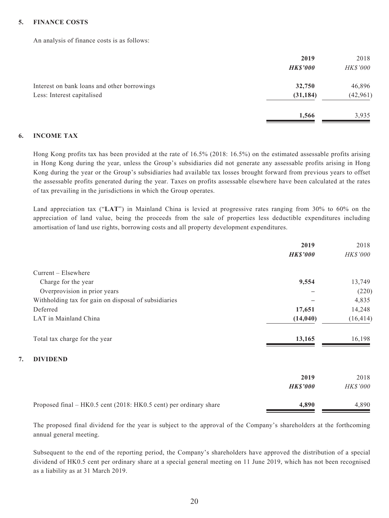#### **5. FINANCE COSTS**

An analysis of finance costs is as follows:

|                                                                           | 2019<br><b>HK\$'000</b> | 2018<br><b>HK\$'000</b> |
|---------------------------------------------------------------------------|-------------------------|-------------------------|
| Interest on bank loans and other borrowings<br>Less: Interest capitalised | 32,750<br>(31, 184)     | 46,896<br>(42, 961)     |
|                                                                           | 1,566                   | 3,935                   |

#### **6. INCOME TAX**

Hong Kong profits tax has been provided at the rate of 16.5% (2018: 16.5%) on the estimated assessable profits arising in Hong Kong during the year, unless the Group's subsidiaries did not generate any assessable profits arising in Hong Kong during the year or the Group's subsidiaries had available tax losses brought forward from previous years to offset the assessable profits generated during the year. Taxes on profits assessable elsewhere have been calculated at the rates of tax prevailing in the jurisdictions in which the Group operates.

Land appreciation tax ("**LAT**") in Mainland China is levied at progressive rates ranging from 30% to 60% on the appreciation of land value, being the proceeds from the sale of properties less deductible expenditures including amortisation of land use rights, borrowing costs and all property development expenditures.

|    |                                                      | 2019<br><b>HK\$'000</b> | 2018<br>HK\$'000 |
|----|------------------------------------------------------|-------------------------|------------------|
|    | $Current - Elsewhere$                                |                         |                  |
|    | Charge for the year                                  | 9,554                   | 13,749           |
|    | Overprovision in prior years                         |                         | (220)            |
|    | Withholding tax for gain on disposal of subsidiaries |                         | 4,835            |
|    | Deferred                                             | 17,651                  | 14,248           |
|    | LAT in Mainland China                                | (14, 040)               | (16, 414)        |
|    | Total tax charge for the year                        | 13,165                  | 16,198           |
| 7. | <b>DIVIDEND</b>                                      |                         |                  |
|    |                                                      | 2019                    | 2018             |
|    |                                                      | <b>HK\$'000</b>         | <i>HK\$'000</i>  |
|    |                                                      |                         |                  |

The proposed final dividend for the year is subject to the approval of the Company's shareholders at the forthcoming annual general meeting.

Proposed final – HK0.5 cent (2018: HK0.5 cent) per ordinary share **4,890** 4,890

Subsequent to the end of the reporting period, the Company's shareholders have approved the distribution of a special dividend of HK0.5 cent per ordinary share at a special general meeting on 11 June 2019, which has not been recognised as a liability as at 31 March 2019.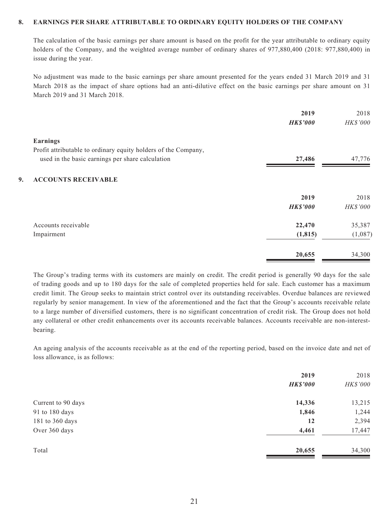#### **8. EARNINGS PER SHARE ATTRIBUTABLE TO ORDINARY EQUITY HOLDERS OF THE COMPANY**

The calculation of the basic earnings per share amount is based on the profit for the year attributable to ordinary equity holders of the Company, and the weighted average number of ordinary shares of 977,880,400 (2018: 977,880,400) in issue during the year.

No adjustment was made to the basic earnings per share amount presented for the years ended 31 March 2019 and 31 March 2018 as the impact of share options had an anti-dilutive effect on the basic earnings per share amount on 31 March 2019 and 31 March 2018.

| HK\$'000        |
|-----------------|
|                 |
|                 |
| 47,776          |
|                 |
| 2018            |
| <b>HK\$'000</b> |
| 35,387          |
| (1,087)         |
| 34,300          |
|                 |

The Group's trading terms with its customers are mainly on credit. The credit period is generally 90 days for the sale of trading goods and up to 180 days for the sale of completed properties held for sale. Each customer has a maximum credit limit. The Group seeks to maintain strict control over its outstanding receivables. Overdue balances are reviewed regularly by senior management. In view of the aforementioned and the fact that the Group's accounts receivable relate to a large number of diversified customers, there is no significant concentration of credit risk. The Group does not hold any collateral or other credit enhancements over its accounts receivable balances. Accounts receivable are non-interestbearing.

An ageing analysis of the accounts receivable as at the end of the reporting period, based on the invoice date and net of loss allowance, is as follows:

| <b>HK\$'000</b> | HK\$'000                           |
|-----------------|------------------------------------|
|                 |                                    |
|                 | 13,215                             |
|                 | 1,244                              |
| 12              | 2,394                              |
|                 | 17,447                             |
|                 | 34,300                             |
|                 | 14,336<br>1,846<br>4,461<br>20,655 |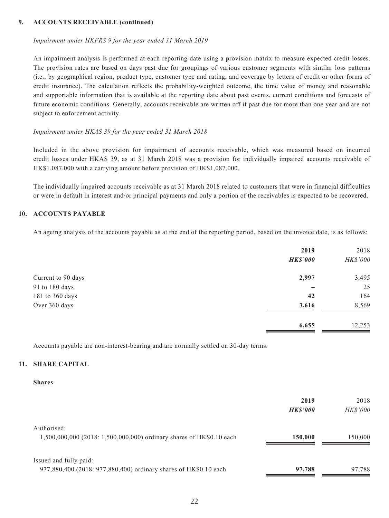#### **9. ACCOUNTS RECEIVABLE (continued)**

#### *Impairment under HKFRS 9 for the year ended 31 March 2019*

An impairment analysis is performed at each reporting date using a provision matrix to measure expected credit losses. The provision rates are based on days past due for groupings of various customer segments with similar loss patterns (i.e., by geographical region, product type, customer type and rating, and coverage by letters of credit or other forms of credit insurance). The calculation reflects the probability-weighted outcome, the time value of money and reasonable and supportable information that is available at the reporting date about past events, current conditions and forecasts of future economic conditions. Generally, accounts receivable are written off if past due for more than one year and are not subject to enforcement activity.

#### *Impairment under HKAS 39 for the year ended 31 March 2018*

Included in the above provision for impairment of accounts receivable, which was measured based on incurred credit losses under HKAS 39, as at 31 March 2018 was a provision for individually impaired accounts receivable of HK\$1,087,000 with a carrying amount before provision of HK\$1,087,000.

The individually impaired accounts receivable as at 31 March 2018 related to customers that were in financial difficulties or were in default in interest and/or principal payments and only a portion of the receivables is expected to be recovered.

#### **10. ACCOUNTS PAYABLE**

An ageing analysis of the accounts payable as at the end of the reporting period, based on the invoice date, is as follows:

|                    | 2019<br><b>HK\$'000</b> | 2018<br>HK\$'000 |
|--------------------|-------------------------|------------------|
| Current to 90 days | 2,997                   | 3,495            |
| 91 to 180 days     |                         | 25               |
| 181 to 360 days    | 42                      | 164              |
| Over 360 days      | 3,616                   | 8,569            |
|                    | 6,655                   | 12,253           |

Accounts payable are non-interest-bearing and are normally settled on 30-day terms.

#### **11. SHARE CAPITAL**

#### **Shares**

|                                                                                            | 2019<br><b>HKS'000</b> | 2018<br><i>HK\$'000</i> |
|--------------------------------------------------------------------------------------------|------------------------|-------------------------|
| Authorised:<br>1,500,000,000 (2018: 1,500,000,000) ordinary shares of HK\$0.10 each        | 150,000                | 150,000                 |
| Issued and fully paid:<br>977,880,400 (2018: 977,880,400) ordinary shares of HK\$0.10 each | 97,788                 | 97.788                  |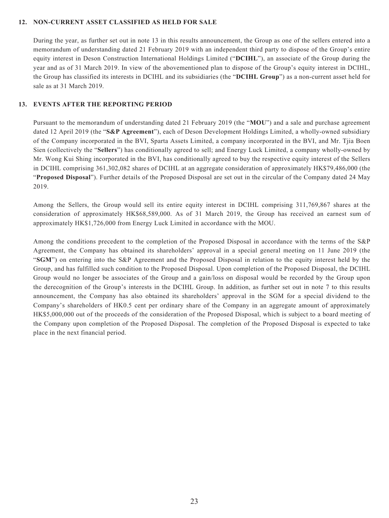#### **12. NON-CURRENT ASSET CLASSIFIED AS HELD FOR SALE**

During the year, as further set out in note 13 in this results announcement, the Group as one of the sellers entered into a memorandum of understanding dated 21 February 2019 with an independent third party to dispose of the Group's entire equity interest in Deson Construction International Holdings Limited ("**DCIHL**"), an associate of the Group during the year and as of 31 March 2019. In view of the abovementioned plan to dispose of the Group's equity interest in DCIHL, the Group has classified its interests in DCIHL and its subsidiaries (the "**DCIHL Group**") as a non-current asset held for sale as at 31 March 2019.

#### **13. EVENTS AFTER THE REPORTING PERIOD**

Pursuant to the memorandum of understanding dated 21 February 2019 (the "**MOU**") and a sale and purchase agreement dated 12 April 2019 (the "**S&P Agreement**"), each of Deson Development Holdings Limited, a wholly-owned subsidiary of the Company incorporated in the BVI, Sparta Assets Limited, a company incorporated in the BVI, and Mr. Tjia Boen Sien (collectively the "**Sellers**") has conditionally agreed to sell; and Energy Luck Limited, a company wholly-owned by Mr. Wong Kui Shing incorporated in the BVI, has conditionally agreed to buy the respective equity interest of the Sellers in DCIHL comprising 361,302,082 shares of DCIHL at an aggregate consideration of approximately HK\$79,486,000 (the "**Proposed Disposal**"). Further details of the Proposed Disposal are set out in the circular of the Company dated 24 May 2019.

Among the Sellers, the Group would sell its entire equity interest in DCIHL comprising 311,769,867 shares at the consideration of approximately HK\$68,589,000. As of 31 March 2019, the Group has received an earnest sum of approximately HK\$1,726,000 from Energy Luck Limited in accordance with the MOU.

Among the conditions precedent to the completion of the Proposed Disposal in accordance with the terms of the S&P Agreement, the Company has obtained its shareholders' approval in a special general meeting on 11 June 2019 (the "**SGM**") on entering into the S&P Agreement and the Proposed Disposal in relation to the equity interest held by the Group, and has fulfilled such condition to the Proposed Disposal. Upon completion of the Proposed Disposal, the DCIHL Group would no longer be associates of the Group and a gain/loss on disposal would be recorded by the Group upon the derecognition of the Group's interests in the DCIHL Group. In addition, as further set out in note 7 to this results announcement, the Company has also obtained its shareholders' approval in the SGM for a special dividend to the Company's shareholders of HK0.5 cent per ordinary share of the Company in an aggregate amount of approximately HK\$5,000,000 out of the proceeds of the consideration of the Proposed Disposal, which is subject to a board meeting of the Company upon completion of the Proposed Disposal. The completion of the Proposed Disposal is expected to take place in the next financial period.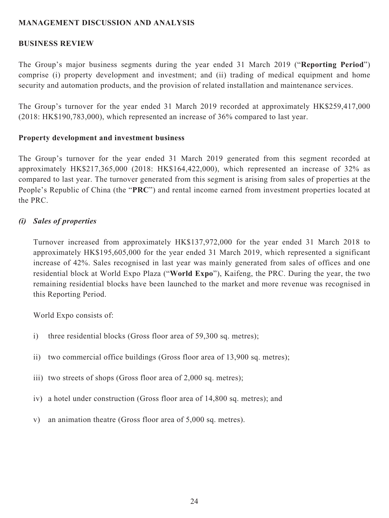### **MANAGEMENT DISCUSSION AND ANALYSIS**

### **BUSINESS REVIEW**

The Group's major business segments during the year ended 31 March 2019 ("**Reporting Period**") comprise (i) property development and investment; and (ii) trading of medical equipment and home security and automation products, and the provision of related installation and maintenance services.

The Group's turnover for the year ended 31 March 2019 recorded at approximately HK\$259,417,000 (2018: HK\$190,783,000), which represented an increase of 36% compared to last year.

### **Property development and investment business**

The Group's turnover for the year ended 31 March 2019 generated from this segment recorded at approximately HK\$217,365,000 (2018: HK\$164,422,000), which represented an increase of 32% as compared to last year. The turnover generated from this segment is arising from sales of properties at the People's Republic of China (the "**PRC**") and rental income earned from investment properties located at the PRC.

### *(i) Sales of properties*

Turnover increased from approximately HK\$137,972,000 for the year ended 31 March 2018 to approximately HK\$195,605,000 for the year ended 31 March 2019, which represented a significant increase of 42%. Sales recognised in last year was mainly generated from sales of offices and one residential block at World Expo Plaza ("**World Expo**"), Kaifeng, the PRC. During the year, the two remaining residential blocks have been launched to the market and more revenue was recognised in this Reporting Period.

World Expo consists of:

- i) three residential blocks (Gross floor area of 59,300 sq. metres);
- ii) two commercial office buildings (Gross floor area of 13,900 sq. metres);
- iii) two streets of shops (Gross floor area of 2,000 sq. metres);
- iv) a hotel under construction (Gross floor area of 14,800 sq. metres); and
- v) an animation theatre (Gross floor area of 5,000 sq. metres).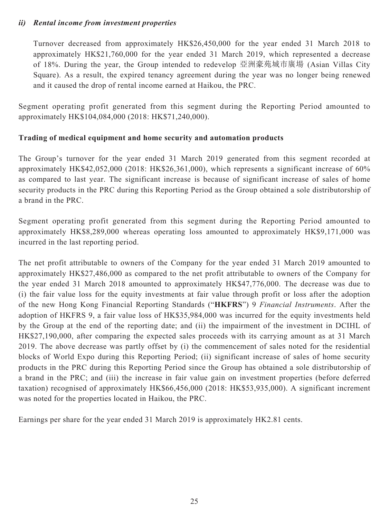### *ii) Rental income from investment properties*

Turnover decreased from approximately HK\$26,450,000 for the year ended 31 March 2018 to approximately HK\$21,760,000 for the year ended 31 March 2019, which represented a decrease of 18%. During the year, the Group intended to redevelop 亞洲豪苑城市廣場 (Asian Villas City Square). As a result, the expired tenancy agreement during the year was no longer being renewed and it caused the drop of rental income earned at Haikou, the PRC.

Segment operating profit generated from this segment during the Reporting Period amounted to approximately HK\$104,084,000 (2018: HK\$71,240,000).

### **Trading of medical equipment and home security and automation products**

The Group's turnover for the year ended 31 March 2019 generated from this segment recorded at approximately HK\$42,052,000 (2018: HK\$26,361,000), which represents a significant increase of 60% as compared to last year. The significant increase is because of significant increase of sales of home security products in the PRC during this Reporting Period as the Group obtained a sole distributorship of a brand in the PRC.

Segment operating profit generated from this segment during the Reporting Period amounted to approximately HK\$8,289,000 whereas operating loss amounted to approximately HK\$9,171,000 was incurred in the last reporting period.

The net profit attributable to owners of the Company for the year ended 31 March 2019 amounted to approximately HK\$27,486,000 as compared to the net profit attributable to owners of the Company for the year ended 31 March 2018 amounted to approximately HK\$47,776,000. The decrease was due to (i) the fair value loss for the equity investments at fair value through profit or loss after the adoption of the new Hong Kong Financial Reporting Standards ("**HKFRS**") 9 *Financial Instruments*. After the adoption of HKFRS 9, a fair value loss of HK\$35,984,000 was incurred for the equity investments held by the Group at the end of the reporting date; and (ii) the impairment of the investment in DCIHL of HK\$27,190,000, after comparing the expected sales proceeds with its carrying amount as at 31 March 2019. The above decrease was partly offset by (i) the commencement of sales noted for the residential blocks of World Expo during this Reporting Period; (ii) significant increase of sales of home security products in the PRC during this Reporting Period since the Group has obtained a sole distributorship of a brand in the PRC; and (iii) the increase in fair value gain on investment properties (before deferred taxation) recognised of approximately HK\$66,456,000 (2018: HK\$53,935,000). A significant increment was noted for the properties located in Haikou, the PRC.

Earnings per share for the year ended 31 March 2019 is approximately HK2.81 cents.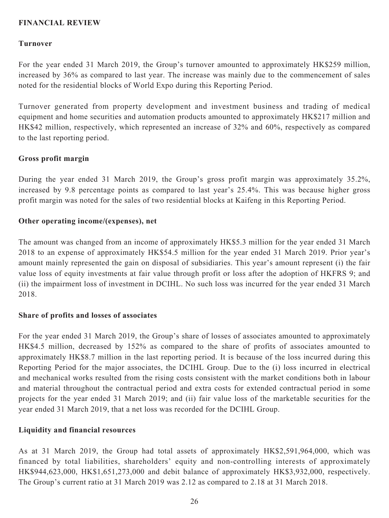### **FINANCIAL REVIEW**

#### **Turnover**

For the year ended 31 March 2019, the Group's turnover amounted to approximately HK\$259 million, increased by 36% as compared to last year. The increase was mainly due to the commencement of sales noted for the residential blocks of World Expo during this Reporting Period.

Turnover generated from property development and investment business and trading of medical equipment and home securities and automation products amounted to approximately HK\$217 million and HK\$42 million, respectively, which represented an increase of 32% and 60%, respectively as compared to the last reporting period.

#### **Gross profit margin**

During the year ended 31 March 2019, the Group's gross profit margin was approximately 35.2%, increased by 9.8 percentage points as compared to last year's 25.4%. This was because higher gross profit margin was noted for the sales of two residential blocks at Kaifeng in this Reporting Period.

#### **Other operating income/(expenses), net**

The amount was changed from an income of approximately HK\$5.3 million for the year ended 31 March 2018 to an expense of approximately HK\$54.5 million for the year ended 31 March 2019. Prior year's amount mainly represented the gain on disposal of subsidiaries. This year's amount represent (i) the fair value loss of equity investments at fair value through profit or loss after the adoption of HKFRS 9; and (ii) the impairment loss of investment in DCIHL. No such loss was incurred for the year ended 31 March 2018.

#### **Share of profits and losses of associates**

For the year ended 31 March 2019, the Group's share of losses of associates amounted to approximately HK\$4.5 million, decreased by 152% as compared to the share of profits of associates amounted to approximately HK\$8.7 million in the last reporting period. It is because of the loss incurred during this Reporting Period for the major associates, the DCIHL Group. Due to the (i) loss incurred in electrical and mechanical works resulted from the rising costs consistent with the market conditions both in labour and material throughout the contractual period and extra costs for extended contractual period in some projects for the year ended 31 March 2019; and (ii) fair value loss of the marketable securities for the year ended 31 March 2019, that a net loss was recorded for the DCIHL Group.

#### **Liquidity and financial resources**

As at 31 March 2019, the Group had total assets of approximately HK\$2,591,964,000, which was financed by total liabilities, shareholders' equity and non-controlling interests of approximately HK\$944,623,000, HK\$1,651,273,000 and debit balance of approximately HK\$3,932,000, respectively. The Group's current ratio at 31 March 2019 was 2.12 as compared to 2.18 at 31 March 2018.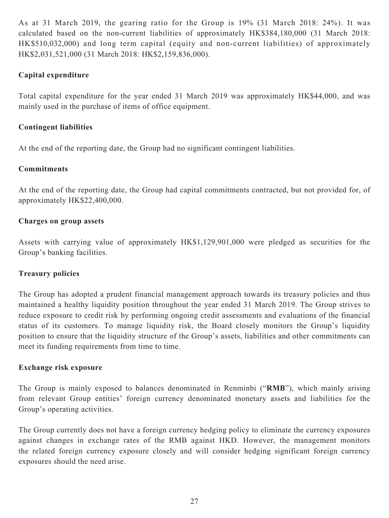As at 31 March 2019, the gearing ratio for the Group is 19% (31 March 2018: 24%). It was calculated based on the non-current liabilities of approximately HK\$384,180,000 (31 March 2018: HK\$510,032,000) and long term capital (equity and non-current liabilities) of approximately HK\$2,031,521,000 (31 March 2018: HK\$2,159,836,000).

### **Capital expenditure**

Total capital expenditure for the year ended 31 March 2019 was approximately HK\$44,000, and was mainly used in the purchase of items of office equipment.

### **Contingent liabilities**

At the end of the reporting date, the Group had no significant contingent liabilities.

### **Commitments**

At the end of the reporting date, the Group had capital commitments contracted, but not provided for, of approximately HK\$22,400,000.

### **Charges on group assets**

Assets with carrying value of approximately HK\$1,129,901,000 were pledged as securities for the Group's banking facilities.

### **Treasury policies**

The Group has adopted a prudent financial management approach towards its treasury policies and thus maintained a healthy liquidity position throughout the year ended 31 March 2019. The Group strives to reduce exposure to credit risk by performing ongoing credit assessments and evaluations of the financial status of its customers. To manage liquidity risk, the Board closely monitors the Group's liquidity position to ensure that the liquidity structure of the Group's assets, liabilities and other commitments can meet its funding requirements from time to time.

### **Exchange risk exposure**

The Group is mainly exposed to balances denominated in Renminbi ("**RMB**"), which mainly arising from relevant Group entities' foreign currency denominated monetary assets and liabilities for the Group's operating activities.

The Group currently does not have a foreign currency hedging policy to eliminate the currency exposures against changes in exchange rates of the RMB against HKD. However, the management monitors the related foreign currency exposure closely and will consider hedging significant foreign currency exposures should the need arise.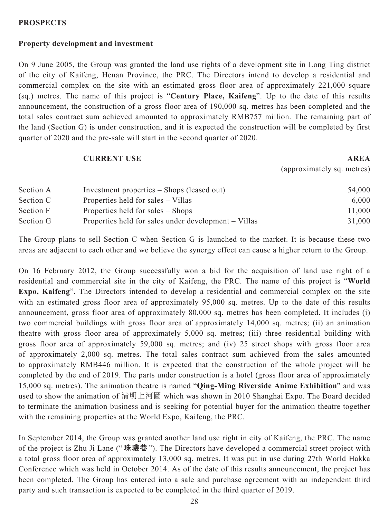#### **PROSPECTS**

#### **Property development and investment**

On 9 June 2005, the Group was granted the land use rights of a development site in Long Ting district of the city of Kaifeng, Henan Province, the PRC. The Directors intend to develop a residential and commercial complex on the site with an estimated gross floor area of approximately 221,000 square (sq.) metres. The name of this project is "**Century Place, Kaifeng**". Up to the date of this results announcement, the construction of a gross floor area of 190,000 sq. metres has been completed and the total sales contract sum achieved amounted to approximately RMB757 million. The remaining part of the land (Section G) is under construction, and it is expected the construction will be completed by first quarter of 2020 and the pre-sale will start in the second quarter of 2020.

#### **CURRENT USE AREA**

(approximately sq. metres)

| Section A | Investment properties – Shops (leased out)           | 54,000 |
|-----------|------------------------------------------------------|--------|
| Section C | Properties held for sales – Villas                   | 6,000  |
| Section F | Properties held for sales – Shops                    | 11,000 |
| Section G | Properties held for sales under development – Villas | 31,000 |

The Group plans to sell Section C when Section G is launched to the market. It is because these two areas are adjacent to each other and we believe the synergy effect can cause a higher return to the Group.

On 16 February 2012, the Group successfully won a bid for the acquisition of land use right of a residential and commercial site in the city of Kaifeng, the PRC. The name of this project is "**World Expo, Kaifeng**". The Directors intended to develop a residential and commercial complex on the site with an estimated gross floor area of approximately 95,000 sq. metres. Up to the date of this results announcement, gross floor area of approximately 80,000 sq. metres has been completed. It includes (i) two commercial buildings with gross floor area of approximately 14,000 sq. metres; (ii) an animation theatre with gross floor area of approximately 5,000 sq. metres; (iii) three residential building with gross floor area of approximately 59,000 sq. metres; and (iv) 25 street shops with gross floor area of approximately 2,000 sq. metres. The total sales contract sum achieved from the sales amounted to approximately RMB446 million. It is expected that the construction of the whole project will be completed by the end of 2019. The parts under construction is a hotel (gross floor area of approximately 15,000 sq. metres). The animation theatre is named "**Qing-Ming Riverside Anime Exhibition**" and was used to show the animation of 清明上河圖 which was shown in 2010 Shanghai Expo. The Board decided to terminate the animation business and is seeking for potential buyer for the animation theatre together with the remaining properties at the World Expo, Kaifeng, the PRC.

In September 2014, the Group was granted another land use right in city of Kaifeng, the PRC. The name of the project is Zhu Ji Lane ("**珠璣巷**"). The Directors have developed a commercial street project with a total gross floor area of approximately 13,000 sq. metres. It was put in use during 27th World Hakka Conference which was held in October 2014. As of the date of this results announcement, the project has been completed. The Group has entered into a sale and purchase agreement with an independent third party and such transaction is expected to be completed in the third quarter of 2019.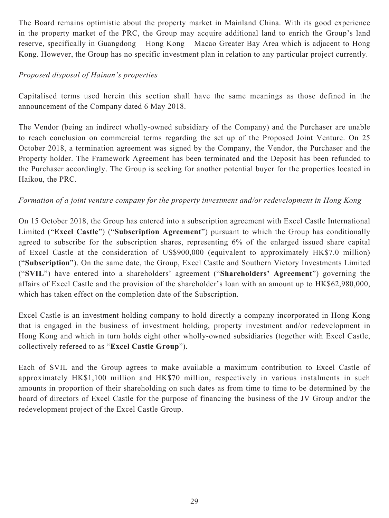The Board remains optimistic about the property market in Mainland China. With its good experience in the property market of the PRC, the Group may acquire additional land to enrich the Group's land reserve, specifically in Guangdong – Hong Kong – Macao Greater Bay Area which is adjacent to Hong Kong. However, the Group has no specific investment plan in relation to any particular project currently.

### *Proposed disposal of Hainan's properties*

Capitalised terms used herein this section shall have the same meanings as those defined in the announcement of the Company dated 6 May 2018.

The Vendor (being an indirect wholly-owned subsidiary of the Company) and the Purchaser are unable to reach conclusion on commercial terms regarding the set up of the Proposed Joint Venture. On 25 October 2018, a termination agreement was signed by the Company, the Vendor, the Purchaser and the Property holder. The Framework Agreement has been terminated and the Deposit has been refunded to the Purchaser accordingly. The Group is seeking for another potential buyer for the properties located in Haikou, the PRC.

### *Formation of a joint venture company for the property investment and/or redevelopment in Hong Kong*

On 15 October 2018, the Group has entered into a subscription agreement with Excel Castle International Limited ("**Excel Castle**") ("**Subscription Agreement**") pursuant to which the Group has conditionally agreed to subscribe for the subscription shares, representing 6% of the enlarged issued share capital of Excel Castle at the consideration of US\$900,000 (equivalent to approximately HK\$7.0 million) ("**Subscription**"). On the same date, the Group, Excel Castle and Southern Victory Investments Limited ("**SVIL**") have entered into a shareholders' agreement ("**Shareholders' Agreement**") governing the affairs of Excel Castle and the provision of the shareholder's loan with an amount up to HK\$62,980,000, which has taken effect on the completion date of the Subscription.

Excel Castle is an investment holding company to hold directly a company incorporated in Hong Kong that is engaged in the business of investment holding, property investment and/or redevelopment in Hong Kong and which in turn holds eight other wholly-owned subsidiaries (together with Excel Castle, collectively refereed to as "**Excel Castle Group**").

Each of SVIL and the Group agrees to make available a maximum contribution to Excel Castle of approximately HK\$1,100 million and HK\$70 million, respectively in various instalments in such amounts in proportion of their shareholding on such dates as from time to time to be determined by the board of directors of Excel Castle for the purpose of financing the business of the JV Group and/or the redevelopment project of the Excel Castle Group.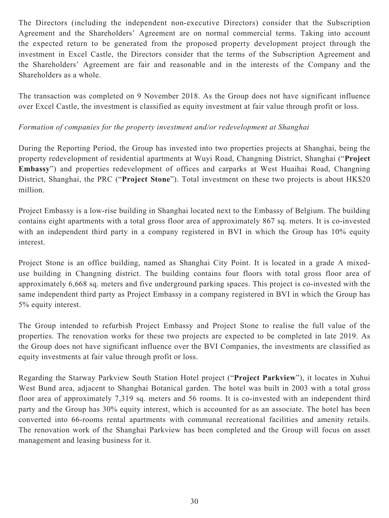The Directors (including the independent non-executive Directors) consider that the Subscription Agreement and the Shareholders' Agreement are on normal commercial terms. Taking into account the expected return to be generated from the proposed property development project through the investment in Excel Castle, the Directors consider that the terms of the Subscription Agreement and the Shareholders' Agreement are fair and reasonable and in the interests of the Company and the Shareholders as a whole.

The transaction was completed on 9 November 2018. As the Group does not have significant influence over Excel Castle, the investment is classified as equity investment at fair value through profit or loss.

### *Formation of companies for the property investment and/or redevelopment at Shanghai*

During the Reporting Period, the Group has invested into two properties projects at Shanghai, being the property redevelopment of residential apartments at Wuyi Road, Changning District, Shanghai ("**Project Embassy**") and properties redevelopment of offices and carparks at West Huaihai Road, Changning District, Shanghai, the PRC ("**Project Stone**"). Total investment on these two projects is about HK\$20 million.

Project Embassy is a low-rise building in Shanghai located next to the Embassy of Belgium. The building contains eight apartments with a total gross floor area of approximately 867 sq. meters. It is co-invested with an independent third party in a company registered in BVI in which the Group has 10% equity interest.

Project Stone is an office building, named as Shanghai City Point. It is located in a grade A mixeduse building in Changning district. The building contains four floors with total gross floor area of approximately 6,668 sq. meters and five underground parking spaces. This project is co-invested with the same independent third party as Project Embassy in a company registered in BVI in which the Group has 5% equity interest.

The Group intended to refurbish Project Embassy and Project Stone to realise the full value of the properties. The renovation works for these two projects are expected to be completed in late 2019. As the Group does not have significant influence over the BVI Companies, the investments are classified as equity investments at fair value through profit or loss.

Regarding the Starway Parkview South Station Hotel project ("**Project Parkview**"), it locates in Xuhui West Bund area, adjacent to Shanghai Botanical garden. The hotel was built in 2003 with a total gross floor area of approximately 7,319 sq. meters and 56 rooms. It is co-invested with an independent third party and the Group has 30% equity interest, which is accounted for as an associate. The hotel has been converted into 66-rooms rental apartments with communal recreational facilities and amenity retails. The renovation work of the Shanghai Parkview has been completed and the Group will focus on asset management and leasing business for it.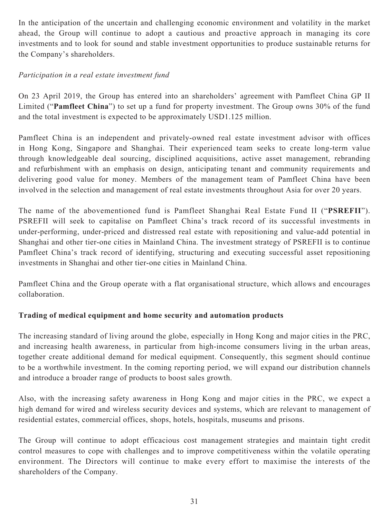In the anticipation of the uncertain and challenging economic environment and volatility in the market ahead, the Group will continue to adopt a cautious and proactive approach in managing its core investments and to look for sound and stable investment opportunities to produce sustainable returns for the Company's shareholders.

### *Participation in a real estate investment fund*

On 23 April 2019, the Group has entered into an shareholders' agreement with Pamfleet China GP II Limited ("**Pamfleet China**") to set up a fund for property investment. The Group owns 30% of the fund and the total investment is expected to be approximately USD1.125 million.

Pamfleet China is an independent and privately-owned real estate investment advisor with offices in Hong Kong, Singapore and Shanghai. Their experienced team seeks to create long-term value through knowledgeable deal sourcing, disciplined acquisitions, active asset management, rebranding and refurbishment with an emphasis on design, anticipating tenant and community requirements and delivering good value for money. Members of the management team of Pamfleet China have been involved in the selection and management of real estate investments throughout Asia for over 20 years.

The name of the abovementioned fund is Pamfleet Shanghai Real Estate Fund II ("**PSREFII**"). PSREFII will seek to capitalise on Pamfleet China's track record of its successful investments in under-performing, under-priced and distressed real estate with repositioning and value-add potential in Shanghai and other tier-one cities in Mainland China. The investment strategy of PSREFII is to continue Pamfleet China's track record of identifying, structuring and executing successful asset repositioning investments in Shanghai and other tier-one cities in Mainland China.

Pamfleet China and the Group operate with a flat organisational structure, which allows and encourages collaboration.

### **Trading of medical equipment and home security and automation products**

The increasing standard of living around the globe, especially in Hong Kong and major cities in the PRC, and increasing health awareness, in particular from high-income consumers living in the urban areas, together create additional demand for medical equipment. Consequently, this segment should continue to be a worthwhile investment. In the coming reporting period, we will expand our distribution channels and introduce a broader range of products to boost sales growth.

Also, with the increasing safety awareness in Hong Kong and major cities in the PRC, we expect a high demand for wired and wireless security devices and systems, which are relevant to management of residential estates, commercial offices, shops, hotels, hospitals, museums and prisons.

The Group will continue to adopt efficacious cost management strategies and maintain tight credit control measures to cope with challenges and to improve competitiveness within the volatile operating environment. The Directors will continue to make every effort to maximise the interests of the shareholders of the Company.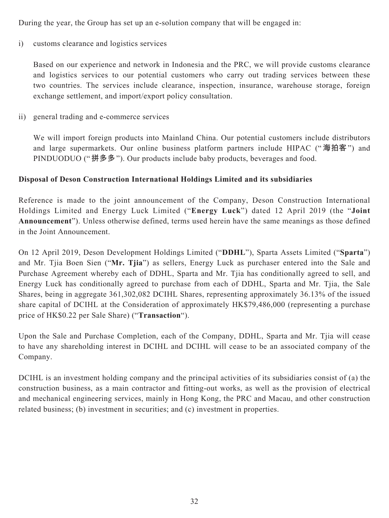During the year, the Group has set up an e-solution company that will be engaged in:

i) customs clearance and logistics services

Based on our experience and network in Indonesia and the PRC, we will provide customs clearance and logistics services to our potential customers who carry out trading services between these two countries. The services include clearance, inspection, insurance, warehouse storage, foreign exchange settlement, and import/export policy consultation.

ii) general trading and e-commerce services

We will import foreign products into Mainland China. Our potential customers include distributors and large supermarkets. Our online business platform partners include HIPAC ("**海拍客**") and PINDUODUO ("**拼多多**"). Our products include baby products, beverages and food.

### **Disposal of Deson Construction International Holdings Limited and its subsidiaries**

Reference is made to the joint announcement of the Company, Deson Construction International Holdings Limited and Energy Luck Limited ("**Energy Luck**") dated 12 April 2019 (the "**Joint Announcement**"). Unless otherwise defined, terms used herein have the same meanings as those defined in the Joint Announcement.

On 12 April 2019, Deson Development Holdings Limited ("**DDHL**"), Sparta Assets Limited ("**Sparta**") and Mr. Tjia Boen Sien ("**Mr. Tjia**") as sellers, Energy Luck as purchaser entered into the Sale and Purchase Agreement whereby each of DDHL, Sparta and Mr. Tjia has conditionally agreed to sell, and Energy Luck has conditionally agreed to purchase from each of DDHL, Sparta and Mr. Tjia, the Sale Shares, being in aggregate 361,302,082 DCIHL Shares, representing approximately 36.13% of the issued share capital of DCIHL at the Consideration of approximately HK\$79,486,000 (representing a purchase price of HK\$0.22 per Sale Share) ("**Transaction**").

Upon the Sale and Purchase Completion, each of the Company, DDHL, Sparta and Mr. Tjia will cease to have any shareholding interest in DCIHL and DCIHL will cease to be an associated company of the Company.

DCIHL is an investment holding company and the principal activities of its subsidiaries consist of (a) the construction business, as a main contractor and fitting-out works, as well as the provision of electrical and mechanical engineering services, mainly in Hong Kong, the PRC and Macau, and other construction related business; (b) investment in securities; and (c) investment in properties.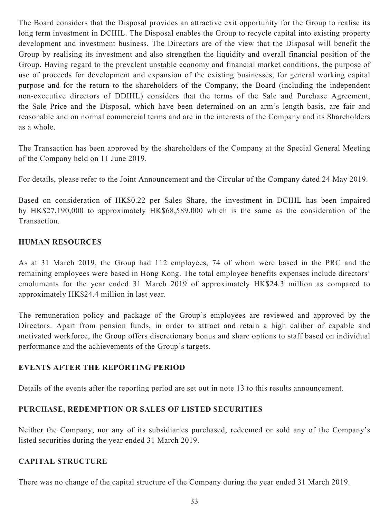The Board considers that the Disposal provides an attractive exit opportunity for the Group to realise its long term investment in DCIHL. The Disposal enables the Group to recycle capital into existing property development and investment business. The Directors are of the view that the Disposal will benefit the Group by realising its investment and also strengthen the liquidity and overall financial position of the Group. Having regard to the prevalent unstable economy and financial market conditions, the purpose of use of proceeds for development and expansion of the existing businesses, for general working capital purpose and for the return to the shareholders of the Company, the Board (including the independent non-executive directors of DDIHL) considers that the terms of the Sale and Purchase Agreement, the Sale Price and the Disposal, which have been determined on an arm's length basis, are fair and reasonable and on normal commercial terms and are in the interests of the Company and its Shareholders as a whole.

The Transaction has been approved by the shareholders of the Company at the Special General Meeting of the Company held on 11 June 2019.

For details, please refer to the Joint Announcement and the Circular of the Company dated 24 May 2019.

Based on consideration of HK\$0.22 per Sales Share, the investment in DCIHL has been impaired by HK\$27,190,000 to approximately HK\$68,589,000 which is the same as the consideration of the Transaction.

### **HUMAN RESOURCES**

As at 31 March 2019, the Group had 112 employees, 74 of whom were based in the PRC and the remaining employees were based in Hong Kong. The total employee benefits expenses include directors' emoluments for the year ended 31 March 2019 of approximately HK\$24.3 million as compared to approximately HK\$24.4 million in last year.

The remuneration policy and package of the Group's employees are reviewed and approved by the Directors. Apart from pension funds, in order to attract and retain a high caliber of capable and motivated workforce, the Group offers discretionary bonus and share options to staff based on individual performance and the achievements of the Group's targets.

### **EVENTS AFTER THE REPORTING PERIOD**

Details of the events after the reporting period are set out in note 13 to this results announcement.

### **PURCHASE, REDEMPTION OR SALES OF LISTED SECURITIES**

Neither the Company, nor any of its subsidiaries purchased, redeemed or sold any of the Company's listed securities during the year ended 31 March 2019.

### **CAPITAL STRUCTURE**

There was no change of the capital structure of the Company during the year ended 31 March 2019.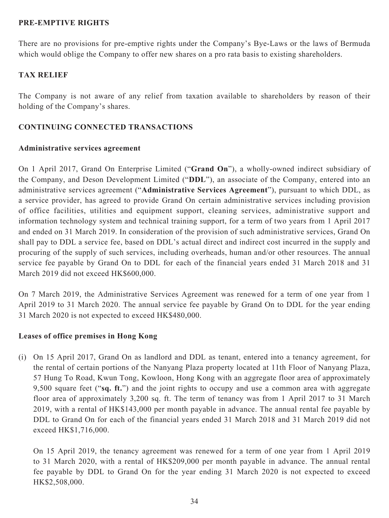### **PRE-EMPTIVE RIGHTS**

There are no provisions for pre-emptive rights under the Company's Bye-Laws or the laws of Bermuda which would oblige the Company to offer new shares on a pro rata basis to existing shareholders.

### **TAX RELIEF**

The Company is not aware of any relief from taxation available to shareholders by reason of their holding of the Company's shares.

### **CONTINUING CONNECTED TRANSACTIONS**

#### **Administrative services agreement**

On 1 April 2017, Grand On Enterprise Limited ("**Grand On**"), a wholly-owned indirect subsidiary of the Company, and Deson Development Limited ("**DDL**"), an associate of the Company, entered into an administrative services agreement ("**Administrative Services Agreement**"), pursuant to which DDL, as a service provider, has agreed to provide Grand On certain administrative services including provision of office facilities, utilities and equipment support, cleaning services, administrative support and information technology system and technical training support, for a term of two years from 1 April 2017 and ended on 31 March 2019. In consideration of the provision of such administrative services, Grand On shall pay to DDL a service fee, based on DDL's actual direct and indirect cost incurred in the supply and procuring of the supply of such services, including overheads, human and/or other resources. The annual service fee payable by Grand On to DDL for each of the financial years ended 31 March 2018 and 31 March 2019 did not exceed HK\$600,000.

On 7 March 2019, the Administrative Services Agreement was renewed for a term of one year from 1 April 2019 to 31 March 2020. The annual service fee payable by Grand On to DDL for the year ending 31 March 2020 is not expected to exceed HK\$480,000.

#### **Leases of office premises in Hong Kong**

(i) On 15 April 2017, Grand On as landlord and DDL as tenant, entered into a tenancy agreement, for the rental of certain portions of the Nanyang Plaza property located at 11th Floor of Nanyang Plaza, 57 Hung To Road, Kwun Tong, Kowloon, Hong Kong with an aggregate floor area of approximately 9,500 square feet ("**sq. ft.**") and the joint rights to occupy and use a common area with aggregate floor area of approximately 3,200 sq. ft. The term of tenancy was from 1 April 2017 to 31 March 2019, with a rental of HK\$143,000 per month payable in advance. The annual rental fee payable by DDL to Grand On for each of the financial years ended 31 March 2018 and 31 March 2019 did not exceed HK\$1,716,000.

On 15 April 2019, the tenancy agreement was renewed for a term of one year from 1 April 2019 to 31 March 2020, with a rental of HK\$209,000 per month payable in advance. The annual rental fee payable by DDL to Grand On for the year ending 31 March 2020 is not expected to exceed HK\$2,508,000.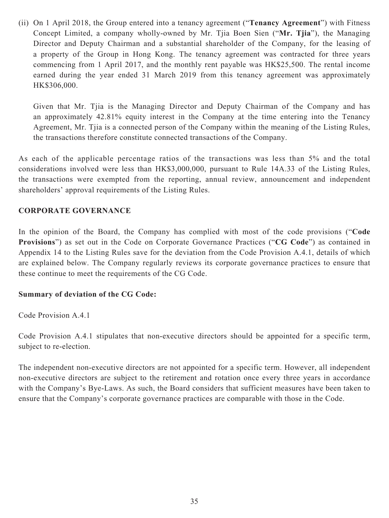(ii) On 1 April 2018, the Group entered into a tenancy agreement ("**Tenancy Agreement**") with Fitness Concept Limited, a company wholly-owned by Mr. Tjia Boen Sien ("**Mr. Tjia**"), the Managing Director and Deputy Chairman and a substantial shareholder of the Company, for the leasing of a property of the Group in Hong Kong. The tenancy agreement was contracted for three years commencing from 1 April 2017, and the monthly rent payable was HK\$25,500. The rental income earned during the year ended 31 March 2019 from this tenancy agreement was approximately HK\$306,000.

Given that Mr. Tjia is the Managing Director and Deputy Chairman of the Company and has an approximately 42.81% equity interest in the Company at the time entering into the Tenancy Agreement, Mr. Tjia is a connected person of the Company within the meaning of the Listing Rules, the transactions therefore constitute connected transactions of the Company.

As each of the applicable percentage ratios of the transactions was less than 5% and the total considerations involved were less than HK\$3,000,000, pursuant to Rule 14A.33 of the Listing Rules, the transactions were exempted from the reporting, annual review, announcement and independent shareholders' approval requirements of the Listing Rules.

### **CORPORATE GOVERNANCE**

In the opinion of the Board, the Company has complied with most of the code provisions ("**Code Provisions**") as set out in the Code on Corporate Governance Practices ("**CG Code**") as contained in Appendix 14 to the Listing Rules save for the deviation from the Code Provision A.4.1, details of which are explained below. The Company regularly reviews its corporate governance practices to ensure that these continue to meet the requirements of the CG Code.

### **Summary of deviation of the CG Code:**

Code Provision A.4.1

Code Provision A.4.1 stipulates that non-executive directors should be appointed for a specific term, subject to re-election.

The independent non-executive directors are not appointed for a specific term. However, all independent non-executive directors are subject to the retirement and rotation once every three years in accordance with the Company's Bye-Laws. As such, the Board considers that sufficient measures have been taken to ensure that the Company's corporate governance practices are comparable with those in the Code.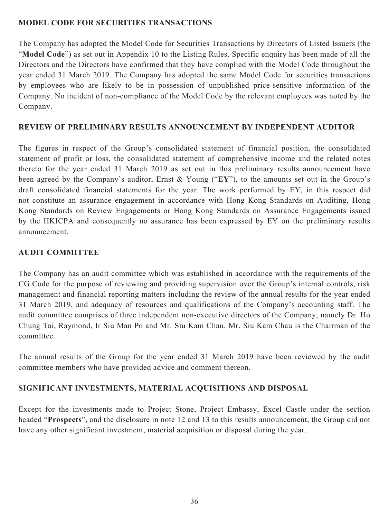### **MODEL CODE FOR SECURITIES TRANSACTIONS**

The Company has adopted the Model Code for Securities Transactions by Directors of Listed Issuers (the "**Model Code**") as set out in Appendix 10 to the Listing Rules. Specific enquiry has been made of all the Directors and the Directors have confirmed that they have complied with the Model Code throughout the year ended 31 March 2019. The Company has adopted the same Model Code for securities transactions by employees who are likely to be in possession of unpublished price-sensitive information of the Company. No incident of non-compliance of the Model Code by the relevant employees was noted by the Company.

### **REVIEW OF PRELIMINARY RESULTS ANNOUNCEMENT BY INDEPENDENT AUDITOR**

The figures in respect of the Group's consolidated statement of financial position, the consolidated statement of profit or loss, the consolidated statement of comprehensive income and the related notes thereto for the year ended 31 March 2019 as set out in this preliminary results announcement have been agreed by the Company's auditor, Ernst & Young ("**EY**"), to the amounts set out in the Group's draft consolidated financial statements for the year. The work performed by EY, in this respect did not constitute an assurance engagement in accordance with Hong Kong Standards on Auditing, Hong Kong Standards on Review Engagements or Hong Kong Standards on Assurance Engagements issued by the HKICPA and consequently no assurance has been expressed by EY on the preliminary results announcement.

### **AUDIT COMMITTEE**

The Company has an audit committee which was established in accordance with the requirements of the CG Code for the purpose of reviewing and providing supervision over the Group's internal controls, risk management and financial reporting matters including the review of the annual results for the year ended 31 March 2019, and adequacy of resources and qualifications of the Company's accounting staff. The audit committee comprises of three independent non-executive directors of the Company, namely Dr. Ho Chung Tai, Raymond, Ir Siu Man Po and Mr. Siu Kam Chau. Mr. Siu Kam Chau is the Chairman of the committee.

The annual results of the Group for the year ended 31 March 2019 have been reviewed by the audit committee members who have provided advice and comment thereon.

### **SIGNIFICANT INVESTMENTS, MATERIAL ACQUISITIONS AND DISPOSAL**

Except for the investments made to Project Stone, Project Embassy, Excel Castle under the section headed "**Prospects**", and the disclosure in note 12 and 13 to this results announcement, the Group did not have any other significant investment, material acquisition or disposal during the year.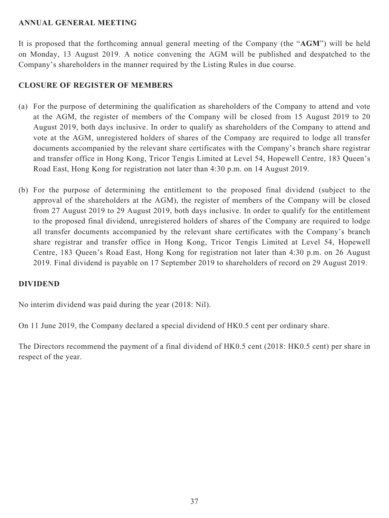### **ANNUAL GENERAL MEETING**

It is proposed that the forthcoming annual general meeting of the Company (the "**AGM**") will be held on Monday, 13 August 2019. A notice convening the AGM will be published and despatched to the Company's shareholders in the manner required by the Listing Rules in due course.

### **CLOSURE OF REGISTER OF MEMBERS**

- (a) For the purpose of determining the qualification as shareholders of the Company to attend and vote at the AGM, the register of members of the Company will be closed from 15 August 2019 to 20 August 2019, both days inclusive. In order to qualify as shareholders of the Company to attend and vote at the AGM, unregistered holders of shares of the Company are required to lodge all transfer documents accompanied by the relevant share certificates with the Company's branch share registrar and transfer office in Hong Kong, Tricor Tengis Limited at Level 54, Hopewell Centre, 183 Queen's Road East, Hong Kong for registration not later than 4:30 p.m. on 14 August 2019.
- (b) For the purpose of determining the entitlement to the proposed final dividend (subject to the approval of the shareholders at the AGM), the register of members of the Company will be closed from 27 August 2019 to 29 August 2019, both days inclusive. In order to qualify for the entitlement to the proposed final dividend, unregistered holders of shares of the Company are required to lodge all transfer documents accompanied by the relevant share certificates with the Company's branch share registrar and transfer office in Hong Kong, Tricor Tengis Limited at Level 54, Hopewell Centre, 183 Queen's Road East, Hong Kong for registration not later than 4:30 p.m. on 26 August 2019. Final dividend is payable on 17 September 2019 to shareholders of record on 29 August 2019.

### **DIVIDEND**

No interim dividend was paid during the year (2018: Nil).

On 11 June 2019, the Company declared a special dividend of HK0.5 cent per ordinary share.

The Directors recommend the payment of a final dividend of HK0.5 cent (2018: HK0.5 cent) per share in respect of the year.